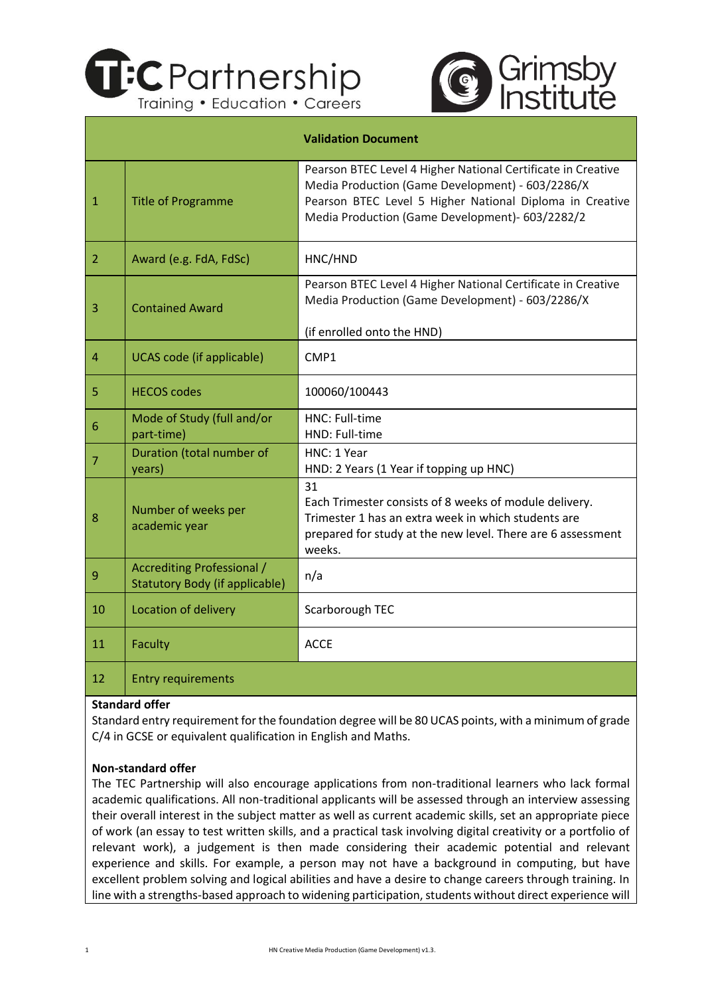



|                |                                                                     | <b>Validation Document</b>                                                                                                                                                                                                      |
|----------------|---------------------------------------------------------------------|---------------------------------------------------------------------------------------------------------------------------------------------------------------------------------------------------------------------------------|
| $\mathbf{1}$   | <b>Title of Programme</b>                                           | Pearson BTEC Level 4 Higher National Certificate in Creative<br>Media Production (Game Development) - 603/2286/X<br>Pearson BTEC Level 5 Higher National Diploma in Creative<br>Media Production (Game Development)- 603/2282/2 |
| $\overline{2}$ | Award (e.g. FdA, FdSc)                                              | HNC/HND                                                                                                                                                                                                                         |
| 3              | <b>Contained Award</b>                                              | Pearson BTEC Level 4 Higher National Certificate in Creative<br>Media Production (Game Development) - 603/2286/X                                                                                                                |
|                |                                                                     | (if enrolled onto the HND)                                                                                                                                                                                                      |
| 4              | <b>UCAS code (if applicable)</b>                                    | CMP1                                                                                                                                                                                                                            |
| 5              | <b>HECOS codes</b>                                                  | 100060/100443                                                                                                                                                                                                                   |
| 6              | Mode of Study (full and/or<br>part-time)                            | HNC: Full-time<br>HND: Full-time                                                                                                                                                                                                |
| $\overline{7}$ | Duration (total number of<br>years)                                 | HNC: 1 Year<br>HND: 2 Years (1 Year if topping up HNC)                                                                                                                                                                          |
| 8              | Number of weeks per<br>academic year                                | 31<br>Each Trimester consists of 8 weeks of module delivery.<br>Trimester 1 has an extra week in which students are<br>prepared for study at the new level. There are 6 assessment<br>weeks.                                    |
| 9              | Accrediting Professional /<br><b>Statutory Body (if applicable)</b> | n/a                                                                                                                                                                                                                             |
| 10             | Location of delivery                                                | Scarborough TEC                                                                                                                                                                                                                 |
| 11             | Faculty                                                             | <b>ACCE</b>                                                                                                                                                                                                                     |
| 12             | <b>Entry requirements</b>                                           |                                                                                                                                                                                                                                 |

#### **Standard offer**

Standard entry requirement for the foundation degree will be 80 UCAS points, with a minimum of grade C/4 in GCSE or equivalent qualification in English and Maths.

#### **Non-standard offer**

The TEC Partnership will also encourage applications from non-traditional learners who lack formal academic qualifications. All non-traditional applicants will be assessed through an interview assessing their overall interest in the subject matter as well as current academic skills, set an appropriate piece of work (an essay to test written skills, and a practical task involving digital creativity or a portfolio of relevant work), a judgement is then made considering their academic potential and relevant experience and skills. For example, a person may not have a background in computing, but have excellent problem solving and logical abilities and have a desire to change careers through training. In line with a strengths-based approach to widening participation, students without direct experience will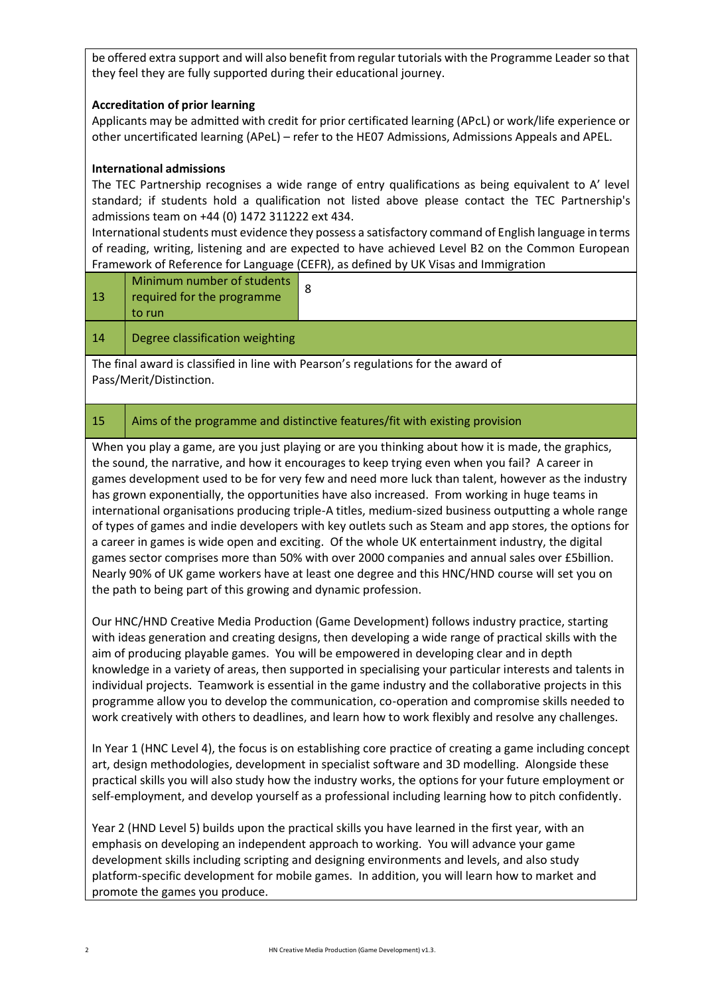be offered extra support and will also benefit from regular tutorials with the Programme Leader so that they feel they are fully supported during their educational journey.

## **Accreditation of prior learning**

Applicants may be admitted with credit for prior certificated learning (APcL) or work/life experience or other uncertificated learning (APeL) – refer to the HE07 Admissions, Admissions Appeals and APEL.

### **International admissions**

The TEC Partnership recognises a wide range of entry qualifications as being equivalent to A' level standard; if students hold a qualification not listed above please contact the TEC Partnership's admissions team on +44 (0) 1472 311222 ext 434.

International students must evidence they possess a satisfactory command of English language in terms of reading, writing, listening and are expected to have achieved Level B2 on the Common European Framework of Reference for Language (CEFR), as defined by UK Visas and Immigration

| $\sqrt{13}$ | Minimum number of students<br>required for the programme<br>to run |  |
|-------------|--------------------------------------------------------------------|--|
| 14          | Degree classification weighting                                    |  |

The final award is classified in line with Pearson's regulations for the award of Pass/Merit/Distinction.

# 15 Aims of the programme and distinctive features/fit with existing provision

When you play a game, are you just playing or are you thinking about how it is made, the graphics, the sound, the narrative, and how it encourages to keep trying even when you fail? A career in games development used to be for very few and need more luck than talent, however as the industry has grown exponentially, the opportunities have also increased. From working in huge teams in international organisations producing triple-A titles, medium-sized business outputting a whole range of types of games and indie developers with key outlets such as Steam and app stores, the options for a career in games is wide open and exciting. Of the whole UK entertainment industry, the digital games sector comprises more than 50% with over 2000 companies and annual sales over £5billion. Nearly 90% of UK game workers have at least one degree and this HNC/HND course will set you on the path to being part of this growing and dynamic profession.

Our HNC/HND Creative Media Production (Game Development) follows industry practice, starting with ideas generation and creating designs, then developing a wide range of practical skills with the aim of producing playable games. You will be empowered in developing clear and in depth knowledge in a variety of areas, then supported in specialising your particular interests and talents in individual projects. Teamwork is essential in the game industry and the collaborative projects in this programme allow you to develop the communication, co-operation and compromise skills needed to work creatively with others to deadlines, and learn how to work flexibly and resolve any challenges.

In Year 1 (HNC Level 4), the focus is on establishing core practice of creating a game including concept art, design methodologies, development in specialist software and 3D modelling. Alongside these practical skills you will also study how the industry works, the options for your future employment or self-employment, and develop yourself as a professional including learning how to pitch confidently.

Year 2 (HND Level 5) builds upon the practical skills you have learned in the first year, with an emphasis on developing an independent approach to working. You will advance your game development skills including scripting and designing environments and levels, and also study platform-specific development for mobile games. In addition, you will learn how to market and promote the games you produce.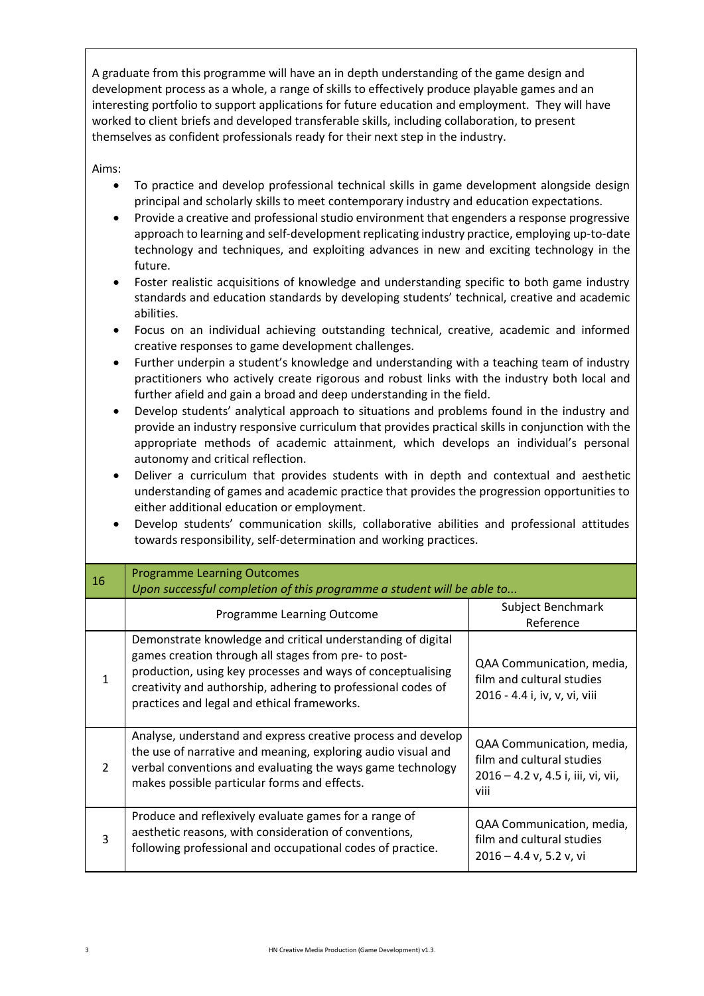A graduate from this programme will have an in depth understanding of the game design and development process as a whole, a range of skills to effectively produce playable games and an interesting portfolio to support applications for future education and employment. They will have worked to client briefs and developed transferable skills, including collaboration, to present themselves as confident professionals ready for their next step in the industry.

Aims:

- To practice and develop professional technical skills in game development alongside design principal and scholarly skills to meet contemporary industry and education expectations.
- Provide a creative and professional studio environment that engenders a response progressive approach to learning and self-development replicating industry practice, employing up-to-date technology and techniques, and exploiting advances in new and exciting technology in the future.
- Foster realistic acquisitions of knowledge and understanding specific to both game industry standards and education standards by developing students' technical, creative and academic abilities.
- Focus on an individual achieving outstanding technical, creative, academic and informed creative responses to game development challenges.
- Further underpin a student's knowledge and understanding with a teaching team of industry practitioners who actively create rigorous and robust links with the industry both local and further afield and gain a broad and deep understanding in the field.
- Develop students' analytical approach to situations and problems found in the industry and provide an industry responsive curriculum that provides practical skills in conjunction with the appropriate methods of academic attainment, which develops an individual's personal autonomy and critical reflection.
- Deliver a curriculum that provides students with in depth and contextual and aesthetic understanding of games and academic practice that provides the progression opportunities to either additional education or employment.
- Develop students' communication skills, collaborative abilities and professional attitudes towards responsibility, self-determination and working practices.

| 16            | <b>Programme Learning Outcomes</b><br>Upon successful completion of this programme a student will be able to                                                                                                                                                                                      |                                                                                                      |
|---------------|---------------------------------------------------------------------------------------------------------------------------------------------------------------------------------------------------------------------------------------------------------------------------------------------------|------------------------------------------------------------------------------------------------------|
|               | Programme Learning Outcome                                                                                                                                                                                                                                                                        | Subject Benchmark<br>Reference                                                                       |
| 1             | Demonstrate knowledge and critical understanding of digital<br>games creation through all stages from pre- to post-<br>production, using key processes and ways of conceptualising<br>creativity and authorship, adhering to professional codes of<br>practices and legal and ethical frameworks. | QAA Communication, media,<br>film and cultural studies<br>2016 - 4.4 i, iv, v, vi, viii              |
| $\mathcal{L}$ | Analyse, understand and express creative process and develop<br>the use of narrative and meaning, exploring audio visual and<br>verbal conventions and evaluating the ways game technology<br>makes possible particular forms and effects.                                                        | QAA Communication, media,<br>film and cultural studies<br>2016 - 4.2 v, 4.5 i, iii, vi, vii,<br>viii |
| 3             | Produce and reflexively evaluate games for a range of<br>aesthetic reasons, with consideration of conventions,<br>following professional and occupational codes of practice.                                                                                                                      | QAA Communication, media,<br>film and cultural studies<br>$2016 - 4.4$ v, 5.2 v, vi                  |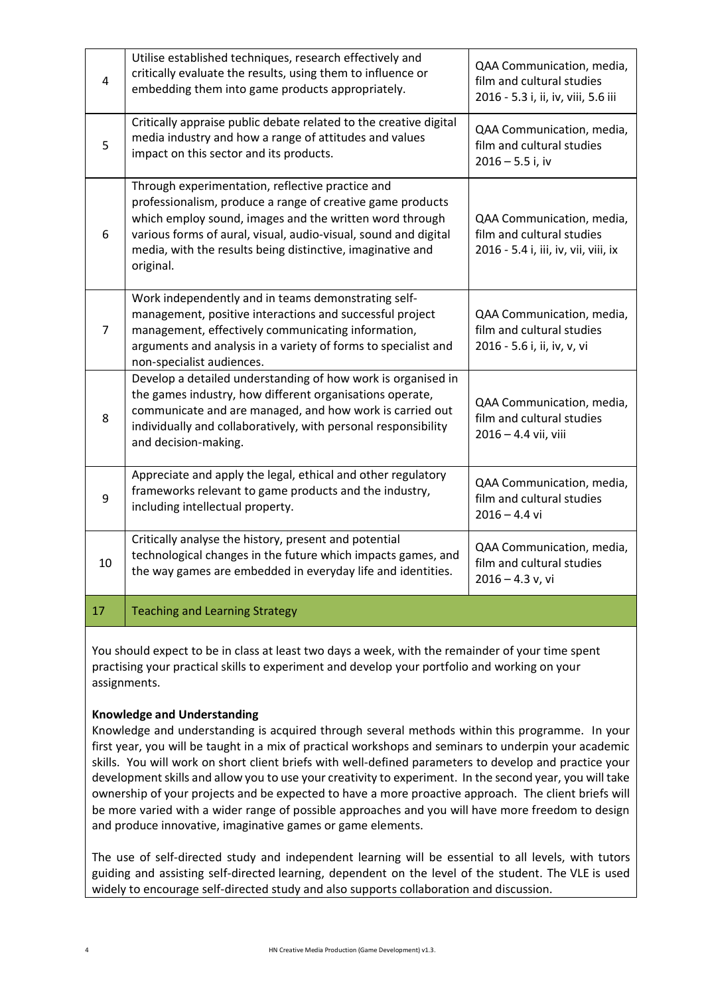| 4  | Utilise established techniques, research effectively and<br>critically evaluate the results, using them to influence or<br>embedding them into game products appropriately.                                                                                                                                             | QAA Communication, media,<br>film and cultural studies<br>2016 - 5.3 i, ii, iv, viii, 5.6 iii  |
|----|-------------------------------------------------------------------------------------------------------------------------------------------------------------------------------------------------------------------------------------------------------------------------------------------------------------------------|------------------------------------------------------------------------------------------------|
| 5  | Critically appraise public debate related to the creative digital<br>media industry and how a range of attitudes and values<br>impact on this sector and its products.                                                                                                                                                  | QAA Communication, media,<br>film and cultural studies<br>$2016 - 5.5$ i, iv                   |
| 6  | Through experimentation, reflective practice and<br>professionalism, produce a range of creative game products<br>which employ sound, images and the written word through<br>various forms of aural, visual, audio-visual, sound and digital<br>media, with the results being distinctive, imaginative and<br>original. | QAA Communication, media,<br>film and cultural studies<br>2016 - 5.4 i, iii, iv, vii, viii, ix |
| 7  | Work independently and in teams demonstrating self-<br>management, positive interactions and successful project<br>management, effectively communicating information,<br>arguments and analysis in a variety of forms to specialist and<br>non-specialist audiences.                                                    | QAA Communication, media,<br>film and cultural studies<br>2016 - 5.6 i, ii, iv, v, vi          |
| 8  | Develop a detailed understanding of how work is organised in<br>the games industry, how different organisations operate,<br>communicate and are managed, and how work is carried out<br>individually and collaboratively, with personal responsibility<br>and decision-making.                                          | QAA Communication, media,<br>film and cultural studies<br>2016 - 4.4 vii, viii                 |
| 9  | Appreciate and apply the legal, ethical and other regulatory<br>frameworks relevant to game products and the industry,<br>including intellectual property.                                                                                                                                                              | QAA Communication, media,<br>film and cultural studies<br>$2016 - 4.4$ vi                      |
| 10 | Critically analyse the history, present and potential<br>technological changes in the future which impacts games, and<br>the way games are embedded in everyday life and identities.                                                                                                                                    | QAA Communication, media,<br>film and cultural studies<br>$2016 - 4.3$ v, vi                   |
| 17 | <b>Teaching and Learning Strategy</b>                                                                                                                                                                                                                                                                                   |                                                                                                |

You should expect to be in class at least two days a week, with the remainder of your time spent practising your practical skills to experiment and develop your portfolio and working on your assignments.

# **Knowledge and Understanding**

Knowledge and understanding is acquired through several methods within this programme. In your first year, you will be taught in a mix of practical workshops and seminars to underpin your academic skills. You will work on short client briefs with well-defined parameters to develop and practice your development skills and allow you to use your creativity to experiment. In the second year, you will take ownership of your projects and be expected to have a more proactive approach. The client briefs will be more varied with a wider range of possible approaches and you will have more freedom to design and produce innovative, imaginative games or game elements.

The use of self-directed study and independent learning will be essential to all levels, with tutors guiding and assisting self-directed learning, dependent on the level of the student. The VLE is used widely to encourage self-directed study and also supports collaboration and discussion.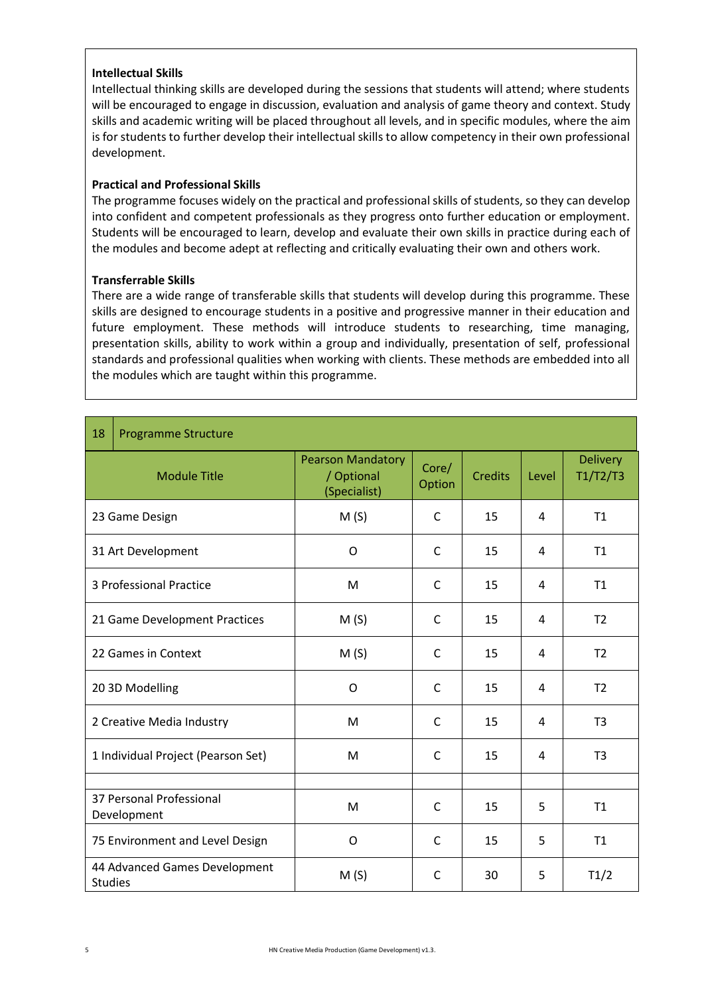#### **Intellectual Skills**

Intellectual thinking skills are developed during the sessions that students will attend; where students will be encouraged to engage in discussion, evaluation and analysis of game theory and context. Study skills and academic writing will be placed throughout all levels, and in specific modules, where the aim is for students to further develop their intellectual skills to allow competency in their own professional development.

# **Practical and Professional Skills**

The programme focuses widely on the practical and professional skills of students, so they can develop into confident and competent professionals as they progress onto further education or employment. Students will be encouraged to learn, develop and evaluate their own skills in practice during each of the modules and become adept at reflecting and critically evaluating their own and others work.

## **Transferrable Skills**

There are a wide range of transferable skills that students will develop during this programme. These skills are designed to encourage students in a positive and progressive manner in their education and future employment. These methods will introduce students to researching, time managing, presentation skills, ability to work within a group and individually, presentation of self, professional standards and professional qualities when working with clients. These methods are embedded into all the modules which are taught within this programme.

| 18             | <b>Programme Structure</b>              |                                                        |                 |                |                     |                             |  |
|----------------|-----------------------------------------|--------------------------------------------------------|-----------------|----------------|---------------------|-----------------------------|--|
|                | <b>Module Title</b>                     | <b>Pearson Mandatory</b><br>/ Optional<br>(Specialist) | Core/<br>Option | <b>Credits</b> | Level               | <b>Delivery</b><br>T1/T2/T3 |  |
|                | 23 Game Design                          | M(S)                                                   | $\mathsf{C}$    | 15             | 4                   | T1                          |  |
|                | 31 Art Development                      | O                                                      | C               | 15             | 4                   | <b>T1</b>                   |  |
|                | 3 Professional Practice                 | M                                                      | C               | 15             | T1<br>4             |                             |  |
|                | 21 Game Development Practices           | M(S)                                                   | $\mathsf{C}$    | 15             | T <sub>2</sub><br>4 |                             |  |
|                | 22 Games in Context                     | M(S)                                                   | C               | 15             | T <sub>2</sub><br>4 |                             |  |
|                | 20 3D Modelling                         | O                                                      | $\mathsf{C}$    | 15             | 4                   | T <sub>2</sub>              |  |
|                | 2 Creative Media Industry               | M                                                      | C               | 15             | 4                   | T <sub>3</sub>              |  |
|                | 1 Individual Project (Pearson Set)      | M                                                      | C               | 15             | 4                   | T <sub>3</sub>              |  |
|                |                                         |                                                        |                 |                |                     |                             |  |
|                | 37 Personal Professional<br>Development | M                                                      | C               | 15             | 5<br>T1             |                             |  |
|                | 75 Environment and Level Design         | O                                                      | $\mathsf{C}$    | 15             | 5                   | T1                          |  |
| <b>Studies</b> | 44 Advanced Games Development           | M(S)                                                   | C               | 30             | 5                   | T1/2                        |  |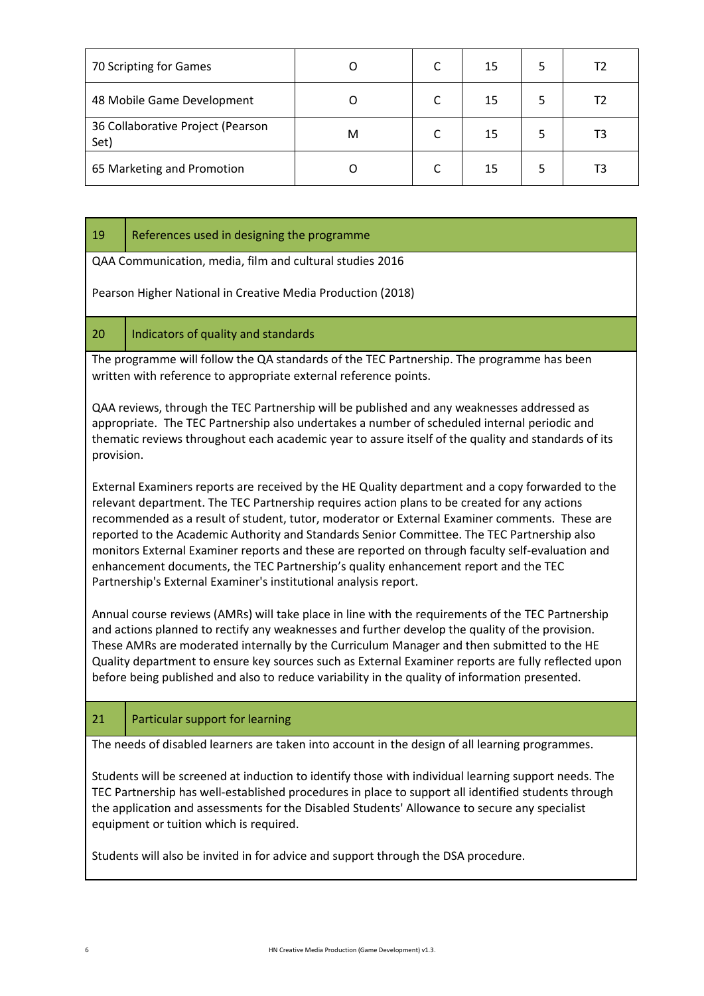| 70 Scripting for Games                    |   | 15 |  |
|-------------------------------------------|---|----|--|
| 48 Mobile Game Development                |   | 15 |  |
| 36 Collaborative Project (Pearson<br>Set) | м | 15 |  |
| 65 Marketing and Promotion                |   | 15 |  |

| 19                                                          | References used in designing the programme                                                                                                                                                                                                                                                                                                                                                                                                                                                                                                                                                                                                                      |  |  |  |  |  |  |  |  |
|-------------------------------------------------------------|-----------------------------------------------------------------------------------------------------------------------------------------------------------------------------------------------------------------------------------------------------------------------------------------------------------------------------------------------------------------------------------------------------------------------------------------------------------------------------------------------------------------------------------------------------------------------------------------------------------------------------------------------------------------|--|--|--|--|--|--|--|--|
|                                                             | QAA Communication, media, film and cultural studies 2016                                                                                                                                                                                                                                                                                                                                                                                                                                                                                                                                                                                                        |  |  |  |  |  |  |  |  |
| Pearson Higher National in Creative Media Production (2018) |                                                                                                                                                                                                                                                                                                                                                                                                                                                                                                                                                                                                                                                                 |  |  |  |  |  |  |  |  |
| 20                                                          | Indicators of quality and standards                                                                                                                                                                                                                                                                                                                                                                                                                                                                                                                                                                                                                             |  |  |  |  |  |  |  |  |
|                                                             | The programme will follow the QA standards of the TEC Partnership. The programme has been<br>written with reference to appropriate external reference points.                                                                                                                                                                                                                                                                                                                                                                                                                                                                                                   |  |  |  |  |  |  |  |  |
| provision.                                                  | QAA reviews, through the TEC Partnership will be published and any weaknesses addressed as<br>appropriate. The TEC Partnership also undertakes a number of scheduled internal periodic and<br>thematic reviews throughout each academic year to assure itself of the quality and standards of its                                                                                                                                                                                                                                                                                                                                                               |  |  |  |  |  |  |  |  |
|                                                             | External Examiners reports are received by the HE Quality department and a copy forwarded to the<br>relevant department. The TEC Partnership requires action plans to be created for any actions<br>recommended as a result of student, tutor, moderator or External Examiner comments. These are<br>reported to the Academic Authority and Standards Senior Committee. The TEC Partnership also<br>monitors External Examiner reports and these are reported on through faculty self-evaluation and<br>enhancement documents, the TEC Partnership's quality enhancement report and the TEC<br>Partnership's External Examiner's institutional analysis report. |  |  |  |  |  |  |  |  |
|                                                             | Annual course reviews (AMRs) will take place in line with the requirements of the TEC Partnership<br>and actions planned to rectify any weaknesses and further develop the quality of the provision.<br>These AMRs are moderated internally by the Curriculum Manager and then submitted to the HE<br>Quality department to ensure key sources such as External Examiner reports are fully reflected upon<br>before being published and also to reduce variability in the quality of information presented.                                                                                                                                                     |  |  |  |  |  |  |  |  |
| 21                                                          | Particular support for learning                                                                                                                                                                                                                                                                                                                                                                                                                                                                                                                                                                                                                                 |  |  |  |  |  |  |  |  |
|                                                             | The needs of disabled learners are taken into account in the design of all learning programmes.                                                                                                                                                                                                                                                                                                                                                                                                                                                                                                                                                                 |  |  |  |  |  |  |  |  |
|                                                             | Students will be screened at induction to identify those with individual learning support needs. The<br>TEC Partnership has well-established procedures in place to support all identified students through<br>the application and assessments for the Disabled Students' Allowance to secure any specialist<br>equipment or tuition which is required.                                                                                                                                                                                                                                                                                                         |  |  |  |  |  |  |  |  |
|                                                             | Students will also be invited in for advice and support through the DSA procedure.                                                                                                                                                                                                                                                                                                                                                                                                                                                                                                                                                                              |  |  |  |  |  |  |  |  |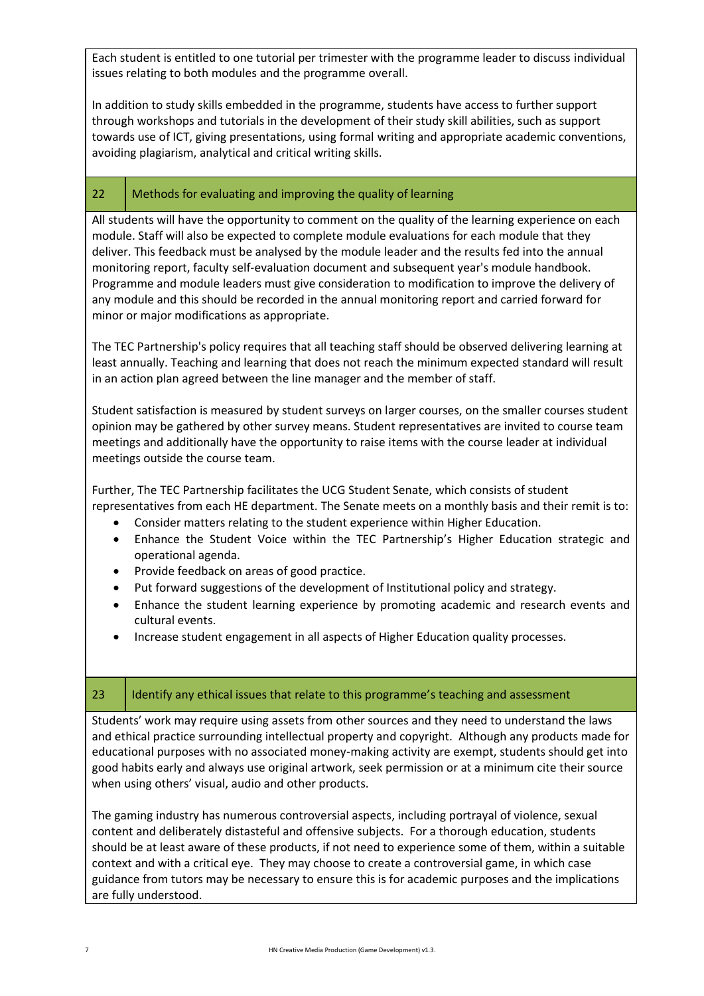Each student is entitled to one tutorial per trimester with the programme leader to discuss individual issues relating to both modules and the programme overall.

In addition to study skills embedded in the programme, students have access to further support through workshops and tutorials in the development of their study skill abilities, such as support towards use of ICT, giving presentations, using formal writing and appropriate academic conventions, avoiding plagiarism, analytical and critical writing skills.

# 22 | Methods for evaluating and improving the quality of learning

All students will have the opportunity to comment on the quality of the learning experience on each module. Staff will also be expected to complete module evaluations for each module that they deliver. This feedback must be analysed by the module leader and the results fed into the annual monitoring report, faculty self-evaluation document and subsequent year's module handbook. Programme and module leaders must give consideration to modification to improve the delivery of any module and this should be recorded in the annual monitoring report and carried forward for minor or major modifications as appropriate.

The TEC Partnership's policy requires that all teaching staff should be observed delivering learning at least annually. Teaching and learning that does not reach the minimum expected standard will result in an action plan agreed between the line manager and the member of staff.

Student satisfaction is measured by student surveys on larger courses, on the smaller courses student opinion may be gathered by other survey means. Student representatives are invited to course team meetings and additionally have the opportunity to raise items with the course leader at individual meetings outside the course team.

Further, The TEC Partnership facilitates the UCG Student Senate, which consists of student representatives from each HE department. The Senate meets on a monthly basis and their remit is to:

- Consider matters relating to the student experience within Higher Education.
- Enhance the Student Voice within the TEC Partnership's Higher Education strategic and operational agenda.
- Provide feedback on areas of good practice.
- Put forward suggestions of the development of Institutional policy and strategy.
- Enhance the student learning experience by promoting academic and research events and cultural events.
- Increase student engagement in all aspects of Higher Education quality processes.

#### 23 | Identify any ethical issues that relate to this programme's teaching and assessment

Students' work may require using assets from other sources and they need to understand the laws and ethical practice surrounding intellectual property and copyright. Although any products made for educational purposes with no associated money-making activity are exempt, students should get into good habits early and always use original artwork, seek permission or at a minimum cite their source when using others' visual, audio and other products.

The gaming industry has numerous controversial aspects, including portrayal of violence, sexual content and deliberately distasteful and offensive subjects. For a thorough education, students should be at least aware of these products, if not need to experience some of them, within a suitable context and with a critical eye. They may choose to create a controversial game, in which case guidance from tutors may be necessary to ensure this is for academic purposes and the implications are fully understood.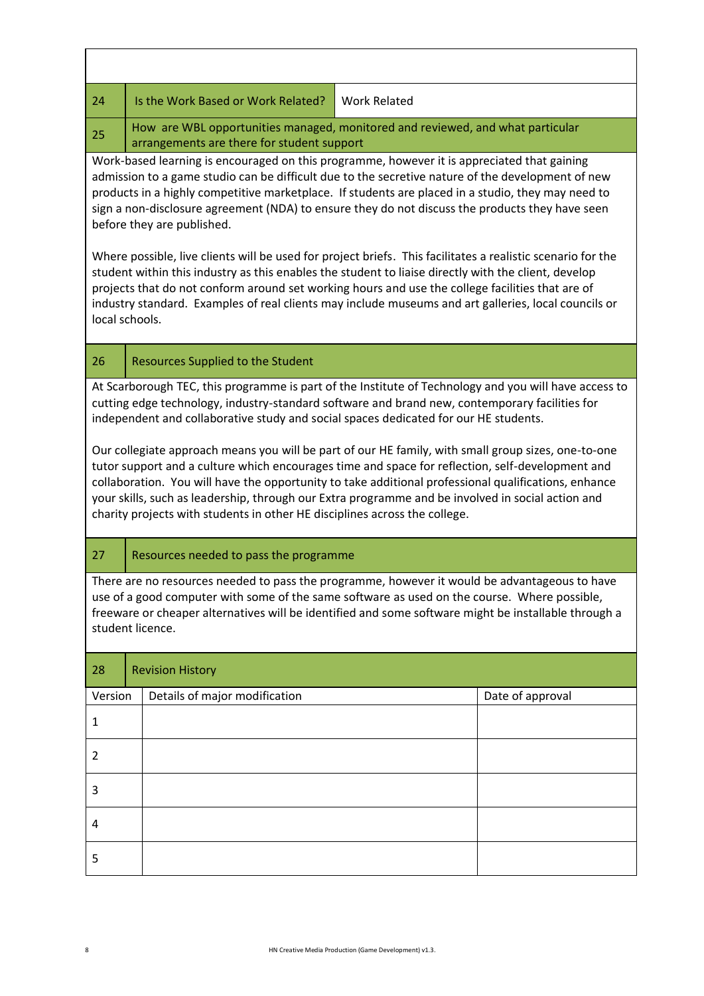| 24      | Is the Work Based or Work Related?                                                                                                                                                                                                                                                                                                                                                                                                                                                                 | <b>Work Related</b> |                  |  |  |  |  |  |  |  |  |
|---------|----------------------------------------------------------------------------------------------------------------------------------------------------------------------------------------------------------------------------------------------------------------------------------------------------------------------------------------------------------------------------------------------------------------------------------------------------------------------------------------------------|---------------------|------------------|--|--|--|--|--|--|--|--|
| 25      | How are WBL opportunities managed, monitored and reviewed, and what particular<br>arrangements are there for student support                                                                                                                                                                                                                                                                                                                                                                       |                     |                  |  |  |  |  |  |  |  |  |
|         | Work-based learning is encouraged on this programme, however it is appreciated that gaining<br>admission to a game studio can be difficult due to the secretive nature of the development of new<br>products in a highly competitive marketplace. If students are placed in a studio, they may need to<br>sign a non-disclosure agreement (NDA) to ensure they do not discuss the products they have seen<br>before they are published.                                                            |                     |                  |  |  |  |  |  |  |  |  |
|         | Where possible, live clients will be used for project briefs. This facilitates a realistic scenario for the<br>student within this industry as this enables the student to liaise directly with the client, develop<br>projects that do not conform around set working hours and use the college facilities that are of<br>industry standard. Examples of real clients may include museums and art galleries, local councils or<br>local schools.                                                  |                     |                  |  |  |  |  |  |  |  |  |
| 26      | <b>Resources Supplied to the Student</b>                                                                                                                                                                                                                                                                                                                                                                                                                                                           |                     |                  |  |  |  |  |  |  |  |  |
|         | At Scarborough TEC, this programme is part of the Institute of Technology and you will have access to<br>cutting edge technology, industry-standard software and brand new, contemporary facilities for<br>independent and collaborative study and social spaces dedicated for our HE students.                                                                                                                                                                                                    |                     |                  |  |  |  |  |  |  |  |  |
|         | Our collegiate approach means you will be part of our HE family, with small group sizes, one-to-one<br>tutor support and a culture which encourages time and space for reflection, self-development and<br>collaboration. You will have the opportunity to take additional professional qualifications, enhance<br>your skills, such as leadership, through our Extra programme and be involved in social action and<br>charity projects with students in other HE disciplines across the college. |                     |                  |  |  |  |  |  |  |  |  |
| 27      | Resources needed to pass the programme                                                                                                                                                                                                                                                                                                                                                                                                                                                             |                     |                  |  |  |  |  |  |  |  |  |
|         | There are no resources needed to pass the programme, however it would be advantageous to have<br>use of a good computer with some of the same software as used on the course. Where possible,<br>freeware or cheaper alternatives will be identified and some software might be installable through a<br>student licence.                                                                                                                                                                          |                     |                  |  |  |  |  |  |  |  |  |
| 28      | <b>Revision History</b>                                                                                                                                                                                                                                                                                                                                                                                                                                                                            |                     |                  |  |  |  |  |  |  |  |  |
| Version | Details of major modification                                                                                                                                                                                                                                                                                                                                                                                                                                                                      |                     | Date of approval |  |  |  |  |  |  |  |  |
| 1       |                                                                                                                                                                                                                                                                                                                                                                                                                                                                                                    |                     |                  |  |  |  |  |  |  |  |  |
| 2       |                                                                                                                                                                                                                                                                                                                                                                                                                                                                                                    |                     |                  |  |  |  |  |  |  |  |  |
| 3       |                                                                                                                                                                                                                                                                                                                                                                                                                                                                                                    |                     |                  |  |  |  |  |  |  |  |  |
| 4       |                                                                                                                                                                                                                                                                                                                                                                                                                                                                                                    |                     |                  |  |  |  |  |  |  |  |  |
| 5       |                                                                                                                                                                                                                                                                                                                                                                                                                                                                                                    |                     |                  |  |  |  |  |  |  |  |  |

ń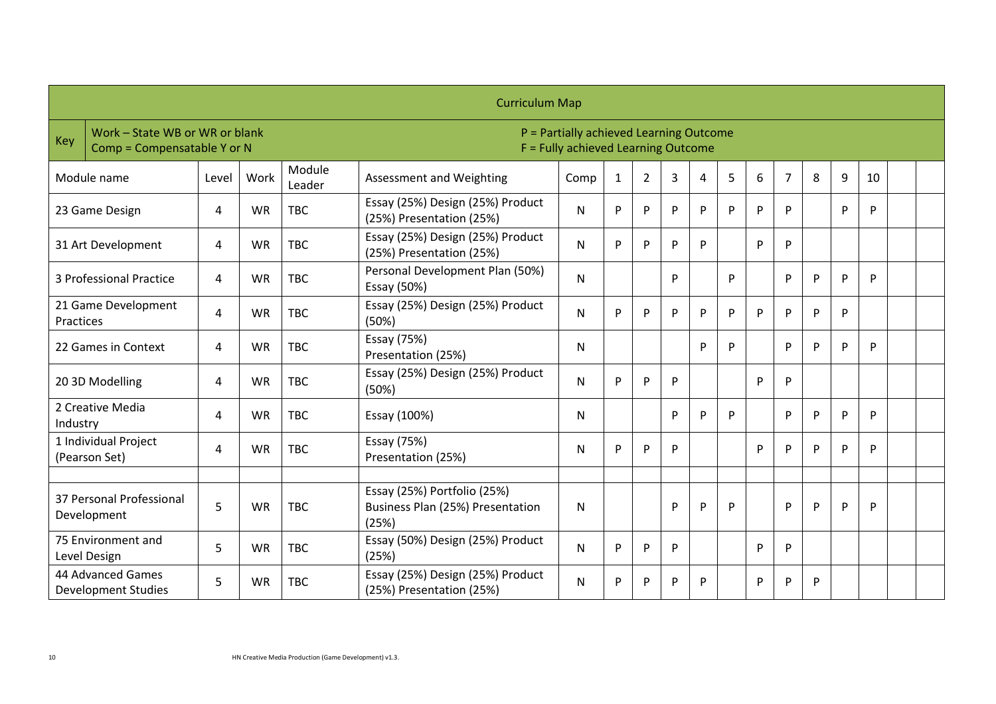|            |                                                               |                |           |                  | <b>Curriculum Map</b>                                                          |              |              |                |   |   |    |   |   |   |   |    |  |
|------------|---------------------------------------------------------------|----------------|-----------|------------------|--------------------------------------------------------------------------------|--------------|--------------|----------------|---|---|----|---|---|---|---|----|--|
| <b>Key</b> | Work - State WB or WR or blank<br>Comp = Compensatable Y or N |                |           |                  | P = Partially achieved Learning Outcome<br>F = Fully achieved Learning Outcome |              |              |                |   |   |    |   |   |   |   |    |  |
|            | Module name                                                   | Level          | Work      | Module<br>Leader | Assessment and Weighting                                                       | Comp         | $\mathbf{1}$ | $\overline{2}$ | 3 | 4 | 5  | 6 | 7 | 8 | 9 | 10 |  |
|            | 23 Game Design                                                | 4              | <b>WR</b> | <b>TBC</b>       | Essay (25%) Design (25%) Product<br>(25%) Presentation (25%)                   | N            | P            | P              | P | P | P  | P | P |   | P | P  |  |
|            | 31 Art Development                                            | 4              | <b>WR</b> | <b>TBC</b>       | Essay (25%) Design (25%) Product<br>(25%) Presentation (25%)                   | ${\sf N}$    | P            | P              | P | P |    | P | D |   |   |    |  |
|            | 3 Professional Practice                                       | $\overline{4}$ | <b>WR</b> | <b>TBC</b>       | Personal Development Plan (50%)<br>Essay (50%)                                 | ${\sf N}$    |              |                | P |   | P  |   | P | P | P | P  |  |
| Practices  | 21 Game Development                                           | 4              | <b>WR</b> | <b>TBC</b>       | Essay (25%) Design (25%) Product<br>(50%)                                      | $\mathsf{N}$ | P            | P              | P | P | P. | P | D | P | P |    |  |
|            | 22 Games in Context                                           | 4              | <b>WR</b> | <b>TBC</b>       | Essay (75%)<br>Presentation (25%)                                              | N            |              |                |   | P | P  |   | P | P | P | P  |  |
|            | 20 3D Modelling                                               | 4              | <b>WR</b> | <b>TBC</b>       | Essay (25%) Design (25%) Product<br>(50%)                                      | N            | P            | P              | P |   |    | P | P |   |   |    |  |
| Industry   | 2 Creative Media                                              | 4              | <b>WR</b> | <b>TBC</b>       | Essay (100%)                                                                   | N            |              |                | P | P | P  |   | P | P | P | P  |  |
|            | 1 Individual Project<br>(Pearson Set)                         | 4              | <b>WR</b> | <b>TBC</b>       | Essay (75%)<br>Presentation (25%)                                              | N            | P            | P              | P |   |    | P | P | P | P | P  |  |
|            |                                                               |                |           |                  |                                                                                |              |              |                |   |   |    |   |   |   |   |    |  |
|            | 37 Personal Professional<br>Development                       | 5              | <b>WR</b> | <b>TBC</b>       | Essay (25%) Portfolio (25%)<br>Business Plan (25%) Presentation<br>(25%)       | N            |              |                | P | P | P  |   | P | P | P | P  |  |
|            | 75 Environment and<br>Level Design                            | 5              | <b>WR</b> | <b>TBC</b>       | Essay (50%) Design (25%) Product<br>(25%)                                      | N            | P            | P              | P |   |    | P | P |   |   |    |  |
|            | 44 Advanced Games<br><b>Development Studies</b>               | 5              | <b>WR</b> | <b>TBC</b>       | Essay (25%) Design (25%) Product<br>(25%) Presentation (25%)                   | N            | P            | P              | P | P |    | P | P | P |   |    |  |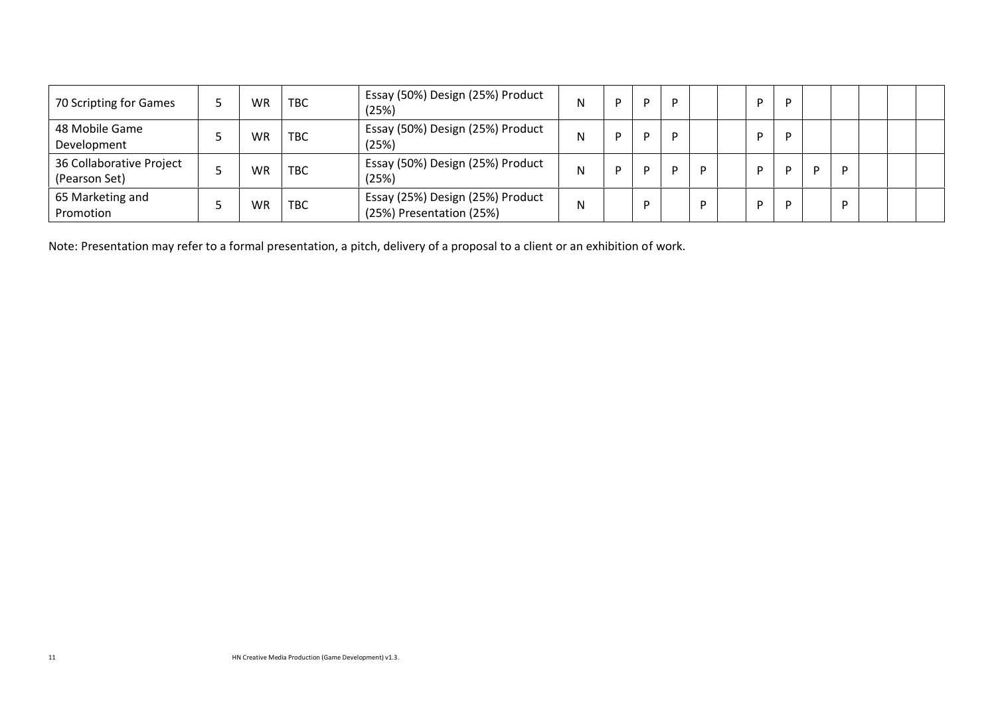| 70 Scripting for Games                    | WR  | <b>TBC</b> | Essay (50%) Design (25%) Product<br>(25%)                    | N | D | D |  |  |   |   |  |  |
|-------------------------------------------|-----|------------|--------------------------------------------------------------|---|---|---|--|--|---|---|--|--|
| 48 Mobile Game<br>Development             | WR. | <b>TBC</b> | Essay (50%) Design (25%) Product<br>(25%)                    | N | D | D |  |  |   |   |  |  |
| 36 Collaborative Project<br>(Pearson Set) | WR  | <b>TBC</b> | Essay (50%) Design (25%) Product<br>(25%)                    | N | D | D |  |  | D | D |  |  |
| 65 Marketing and<br>Promotion             | WR  | <b>TBC</b> | Essay (25%) Design (25%) Product<br>(25%) Presentation (25%) | N |   |   |  |  |   | D |  |  |

Note: Presentation may refer to a formal presentation, a pitch, delivery of a proposal to a client or an exhibition of work.